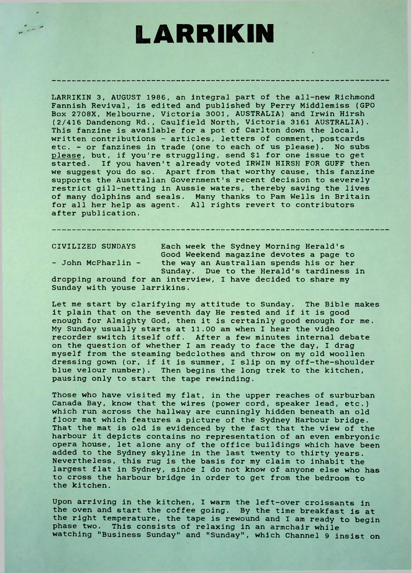## **LARRIKIN**

LARRIKIN 3, AUGUST 1986, an integral part of the all-new Richmond Fannish Revival, is edited and published by Perry Middlemiss (GPO Box 2708X, Melbourne, Victoria 3001, AUSTRALIA) and Irwin Hirsh (2/416 Dandenong Rd., Caulfield North, Victoria 3161 AUSTRALIA). This fanzine is available for a pot of Carlton down the local, written contributions - articles, letters of comment, postcards etc. - or fanzines in trade (one to each of us please). No subs please, but, if you're struggling, send \$1 for one issue to get started. If you haven't already voted IRWIN HIRSH FOR GUFF then we suggest you do so. Apart from that worthy cause, this fanzine supports the Australian Government's recent decision to severely restrict gill-netting in Aussie waters, thereby saving the lives of many dolphins and seals. Many thanks to Pam Wells in Britain for all her help as agent. All rights revert to contributors after publication.

CIVILIZED SUNDAYS Each week the Sydney Morning Herald's Good Weekend magazine devotes a page to - John McPharlin - the way an Australian spends his or her Sunday. Due to the Herald's tardiness in

dropping around for an interview, <sup>I</sup> have decided to share my Sunday with youse larrikins.

Let me start by clarifying my attitude to Sunday. The Bible makes it plain that on the seventh day He rested and if it is good enough for Almighty God, then it is certainly good enough for me. My Sunday usually starts at 11.00 am when <sup>I</sup> hear the video recorder switch itself off. After a few minutes internal debate on the question of whether <sup>I</sup> am ready to face the day, <sup>I</sup> drag myself from the steaming bedclothes and throw on my old woollen dressing gown (or, if it is summer, <sup>I</sup> slip on my off-the-shoulder blue velour number). Then begins the long trek to the kitchen, pausing only to start the tape rewinding.

Those who have visited my flat, in the upper reaches of surburban Canada Bay, know that the wires (power cord, speaker lead, etc.) which run across the hallway are cunningly hidden beneath an old floor mat which features a picture of the Sydney Harbour bridge. That the mat is old is evidenced by the fact that the view of the harbour it depicts contains no representation of an even embryonic opera house, let alone any of the office buildings which have been added to the Sydney skyline in the last twenty to thirty years. Nevertheless, this rug is the basis for my claim to inhabit the largest flat in Sydney, since <sup>I</sup> do not know of anyone else who has to cross the harbour bridge in order to get from the bedroom to the kitchen.

Upon arriving in the kitchen, I warm the left-over croissants in the oven and start the coffee going. By the time breakfast is at the right temperature, the tape is rewound and I am ready to begin phase two. This consists of relaxing in an armchair while watching "Business Sunday" and "Sunday", which Channel 9 insist on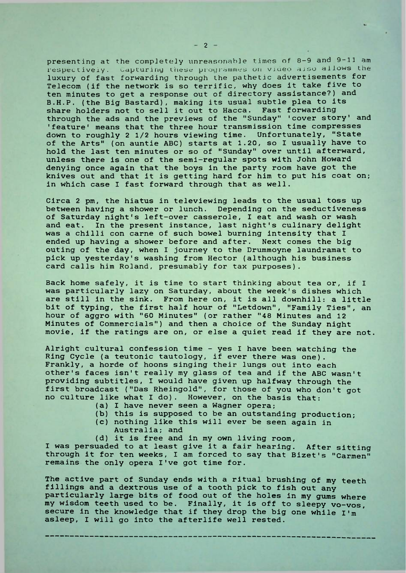presenting at the completely unreasonable times of 8-9 and 9-11 am respectively. capturing these programmes on vjoeo also allows the luxury of fast forwarding through the pathetic advertisements for Telecom (if the network is so terrific, why does it take five to ten minutes to get a response out of directory assistance?) and B.H.P. (the Big Bastard), making its usual subtle plea to its share holders not to sell it out to Hacca. Fast forwarding through the ads and the previews of the "Sunday" 'cover story' and 'feature' means that the three hour transmission time compresses down to roughly 2 1/2 hours viewing time. Unfortunately, "State of the Arts" (on auntie ABC) starts at 1.20, so <sup>I</sup> usually have to hold the last ten minutes or so of "Sunday" over until afterward, unless there is one of the semi-regular spots with John Howard denying once again that the boys in the party room have got the knives out and that it is getting hard for him to put his coat on; in which case <sup>I</sup> fast forward through that as well.

Circa 2 pm, the hiatus in televiewing leads to the usual toss up between having a shower or lunch. Depending on the seductiveness of Saturday night's left-over casserole, <sup>I</sup> eat and wash or wash and eat. In the present instance, last night's culinary delight was a chilli con carne of such bowel burning intensity that I ended up having a shower before and after. Next comes the big outing of the day, when <sup>I</sup> journey to the Drummoyne laundramat to pick up yesterday's washing from Hector (although his business card calls him Roland, presumably for tax purposes).

Back home safely, it is time to start thinking about tea or, if <sup>I</sup> was particularly lazy on Saturday, about the week's dishes which are still in the sink. From here on, it is all downhill: a little bit of typing, the first half hour of "Letdown", "Family Ties", an hour of aggro with "60 Minutes" (or rather "48 Minutes and 12 Minutes of Commercials") and then a choice of the Sunday night movie, if the ratings are on, or else a quiet read if they are not.

Alright cultural confession time - yes <sup>I</sup> have been watching the Ring Cycle (a teutonic tautology, if ever there was one). Frankly, a horde of hoons singing their lungs out into each other's faces isn't really my glass of tea and if the ABC wasn't providing subtitles, <sup>I</sup> would have given up halfway through the first broadcast ("Das Rheingold", for those of you who don't got no culture like what I do). However, on the basis that:

- (a) I have never seen a Wagner opera;
- (b) this is supposed to be an outstanding production;
- (c) nothing like this will ever be seen again in
	- Australia; and
- (d) it is free and in my own living room,

I was persuaded to at least give it a fair hearing. After sitting through it for ten weeks, I am forced to say that Bizet's "Carmen" remains the only opera I've got time for.

The active part of Sunday ends with a ritual brushing of my teeth fillings and a dextrous use of a tooth pick to fish out any particularly large bits of food out of the holes in my gums where my wisdom teeth used to be. Finally, it is off to sleepy vo-vos, secure in the knowledge that if they drop the big one while  $I'$ m asleep, I will go into the afterlife well rested.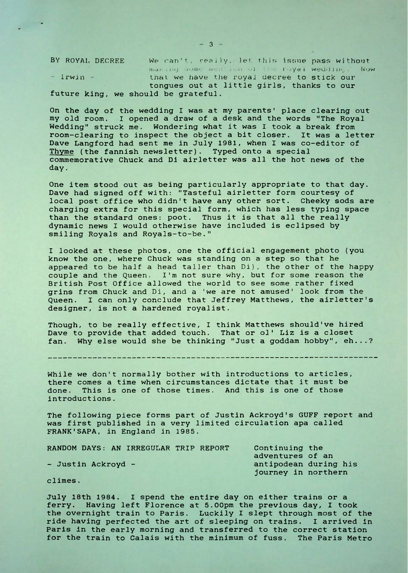BY ROYAL DECREE We can't, really, let this issue pass without inarithy some ment isn of the royal wedding. Now - Irwin • that, we have the royal decree to stick our tongues out at little girls, thanks to our future king, we should be grateful.

On the day of the wedding <sup>I</sup> was at my parents' place clearing out my old room. I opened a draw of a desk and the words "The Royal Wedding" struck me. Wondering what it was I took a break from room-clearing to inspect the object a bit closer. It was a letter Dave Langford had sent me in July 1981, when I was co-editor of Thyme (the fannish newsletter). Typed onto a special commemorative Chuck and Di airletter was all the hot news of the day.

One item stood out as being particularly appropriate to that day. Dave had signed off with: "Tasteful airletter form courtesy of local post office who didn't have any other sort. Cheeky sods are charging extra for this special form, which has less typing space than the standard ones: poot. Thus it is that all the really dynamic news <sup>I</sup> would otherwise have included is eclipsed by smiling Royals and Royals-to-be."

<sup>I</sup> looked at these photos, one the official engagement photo (you know the one, where Chuck was standing on a step so that he appeared to be half a head taller than Di), the other of the happy couple and the Queen. I'm not sure why, but for some reason the British Post Office allowed the world to see some rather fixed grins from Chuck and Di, and a 'we are not amused' look from the Queen. I can only conclude that Jeffrey Matthews, the airletter's designer, is not a hardened royalist.

Though, to be really effective, <sup>I</sup> think Matthews should've hired Dave to provide that added touch. That or ol' Liz is a closet fan. Why else would she be thinking "Just a goddam hobby", eh...?

While we don't normally bother with introductions to articles, there comes a time when circumstances dictate that it must be done. This is one of those times. And this is one of those introductions.

The following piece forms part of Justin Ackroyd's GUFF report and was first published in a very limited circulation apa called FRANK'SAPA, in England in 1985.

| RANDOM DAYS: AN IRREGULAR TRIP REPORT<br>- Justin Ackroyd - | Continuing the        |
|-------------------------------------------------------------|-----------------------|
|                                                             | adventures of an      |
|                                                             | antipodean during his |
|                                                             | journey in northern   |

climes.

July 18th 1984. I spend the entire day on either trains or a ferry. Having left Florence at 5.00pm the previous day, I took the overnight train to Paris. Luckily I slept through most of the ride having perfected the art of sleeping on trains. I arrived in Paris in the early morning and transferred to the correct station for the train to Calais with the minimum of fuss. The Paris Metro

 $-3-$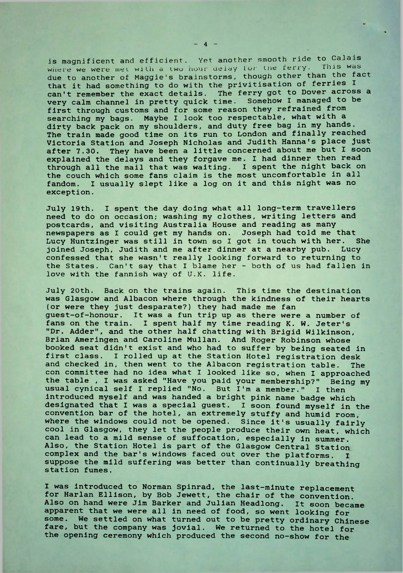is magnificent and efficient. Yet another smooth ride to Calais where we were met with a two hour uelay for the ferry. This was due to another of Maggie's brainstorms, though other than the fact that it had something to do with the privitisation of ferries <sup>I</sup> can't remember the exact details. The ferry got to Dover across a very calm channel in pretty quick time. Somehow <sup>I</sup> managed to be first through customs and for some reason they refrained from searching my bags. Maybe <sup>I</sup> look too respectable, what with a dirty back pack on my shoulders, and duty free bag in my hands. The train made good time on its run to London and finally reached Victoria Station and Joseph Nicholas and Judith Hanna's place just after 7.30. They have been a little concerned about me but I soon explained the delays and they forgave me. I had dinner then read through all the mail that was waiting. <sup>I</sup> spent the night back on the couch which some fans claim is the most uncomfortable in all fandom. I usually slept like a log on it and this night was no exception.

July 19th. <sup>I</sup> spent the day doing what all long-term travellers need to do on occasion; washing my clothes, writing letters and postcards, and visiting Australia House and reading as many newspapers as <sup>I</sup> could get my hands on. Joseph had told me that Lucy Huntzinger was still in town so <sup>I</sup> got in touch with her. She joined Joseph, Judith and me after dinner at a nearby pub. Lucy confessed that she wasn't really looking forward to returning to the States. Can't say that <sup>I</sup> blame her - both of us had fallen in love with the fannish way of U.K. life.

July 20th. Back on the trains again. This time the destination was Glasgow and Albacon where through the kindness of their hearts (or were they just desparate?) they had made me fan guest-of-honour. It was a fun trip up as there were a number of fans on the train. <sup>I</sup> spent half my time reading K. W. Jeter's "Dr. Adder", and the other half chatting with Brigid Wilkinson, Brian Ameringen and Caroline Mullan. And Roger Robinson whose booked seat didn't exist and who had to suffer by being seated in first class. <sup>I</sup> rolled up at the Station Hotel registration desk and checked in, then went to the Albacon registration table. The con committee had no idea what <sup>I</sup> looked like so, when <sup>I</sup> approached the table , <sup>I</sup> was asked "Have you paid your membership?" Being my usual cynical self <sup>I</sup> replied "No. But I'm a member." <sup>I</sup> then introduced myself and was handed a bright pink name badge which designated that <sup>I</sup> was a special guest. I soon found myself in the convention bar of the hotel, an extremely stuffy and humid room, where the windows could not be opened. Since it's usually fairly cool in Glasgow, they let the people produce their own heat, which can lead to a mild sense of suffocation, especially in summer. Also, the Station Hotel is part of the Glasgow Central Station complex and the bar's windows faced out over the platforms. I suppose the mild suffering was better than continually breathing station fumes.

I was introduced to Norman Spinrad, the last-minute replacement for Harlan Ellison, by Bob Jewett, the chair of the convention. Also on hand were Jim Barker and Julian Headlong. It soon became apparent that we were all in need of food, so went looking for some. We settled on what turned out to be pretty ordinary Chinese fare, but the company was jovial. We returned to the hotel for the opening ceremony which produced the second no-show for the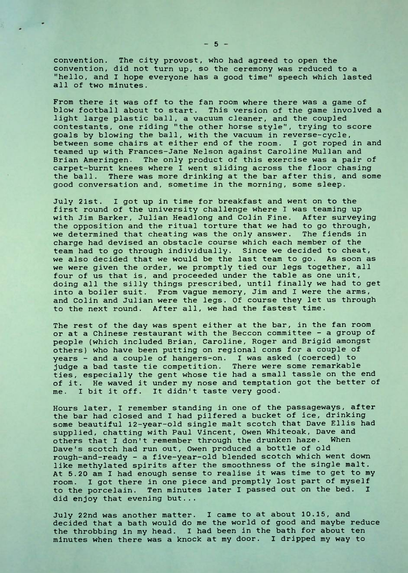convention. The city provost, who had agreed to open the convention, did not turn up, so the ceremony was reduced to a "hello, and I hope everyone has a good time" speech which lasted all of two minutes.

From there it was off to the fan room where there was a game of blow football about to start. This version of the game involved a light large plastic ball, a vacuum cleaner, and the coupled contestants, one riding "the other horse style", trying to score goals by blowing the ball, with the vacuum in reverse-cycle, between some chairs at either end of the room. <sup>I</sup> got roped in and teamed up with Frances-Jane Nelson against Caroline Mullan and Brian Ameringen. The only product of this exercise was a pair of carpet-burnt knees where <sup>I</sup> went sliding across the floor chasing the ball. There was more drinking at the bar after this, and some good conversation and, sometime in the morning, some sleep.

July 21st. <sup>I</sup> got up in time for breakfast and went on to the first round of the university challenge where <sup>I</sup> was teaming up with Jim Barker, Julian Headlong and Colin Fine. After surveying the opposition and the ritual torture that we had to go through, we determined that cheating was the only answer. The fiends in charge had devised an obstacle course which each member of the team had to go through individually. Since we decided to cheat, we also decided that we would be the last team to go. As soon as we were given the order, we promptly tied our legs together, all four of us that is, and proceeded under the table as one unit, doing all the silly things prescribed, until finally we had to get into a boiler suit. From vague memory, Jim and I were the arms, and Colin and Julian were the legs. Of course they let us through to the next round. After all, we had the fastest time.

The rest of the day was spent either at the bar, in the fan room or at a Chinese restaurant with the Beccon committee - a group of people (which included Brian, Caroline, Roger and Brigid amongst others) who have been putting on regional cons for a couple of years - and a couple of hangers-on. <sup>I</sup> was asked (coerced) to judge a bad taste tie competition. There were some remarkable ties, especially the gent whose tie had a small tassle on the end of it. He waved it under my nose and temptation got the better of me. I bit it off. It didn't taste very good.

Hours later, I remember standing in one of the passageways, after the bar had closed and I had pilfered a bucket of ice, drinking some beautiful 12-year-old single malt scotch that Dave Ellis had supplied, chatting with Paul Vincent, Owen Whiteoak, Dave and others that I don't remember through the drunken haze. When Dave's scotch had run out, Owen produced a bottle of old rough-and-ready - a five-year-old blended scotch which went down like methylated spirits after the smoothness of the single malt. At 5.20 am I had enough sense to realise it was time to get to my room. I got there in one piece and promptly lost part of myself to the porcelain. Ten minutes later I passed out on the bed. I did enjoy that evening but...

July 22nd was another matter. I came to at about 10.15, and decided that a bath would do me the world of good and maybe reduce the throbbing in my head. I had been in the bath for about ten minutes when there was a knock at my door. I dripped my way to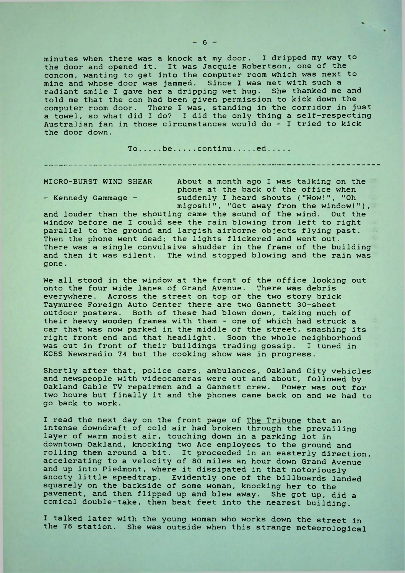minutes when there was a knock at my door. <sup>I</sup> dripped my way to the door and opened it. It was Jacquie Robertson, one of the concom, wanting to get into the computer room which was next to mine and whose door was jammed. Since <sup>I</sup> was met with such a radiant smile I gave her a dripping wet hug. She thanked me and told me that the con had been given permission to kick down the computer room door. There I was, standing in the corridor in just a towel, so what did <sup>I</sup> do? <sup>I</sup> did the only thing a self-respecting Australian fan in those circumstances would do - <sup>I</sup> tried to kick the door down.

To.... be.... continu.... ed....

MICRO-BURST WIND SHEAR About a month ago <sup>I</sup> was talking on the phone at the back of the office when - Kennedy Gammage - suddenly <sup>I</sup> heard shouts ("Wow!", "Oh migosh!", "Get away from the window!"),

and louder than the shouting came the sound of the wind. Out the window before me <sup>I</sup> could see the rain blowing from left to right parallel to the ground and largish airborne objects flying past. Then the phone went dead; the lights flickered and went out. There was a single convulsive shudder in the frame of the building and then it was silent. The wind stopped blowing and the rain was gone .

We all stood in the window at the front of the office looking out onto the four wide lanes of Grand Avenue. There was debris everywhere. Across the street on top of the two story brick Taymuree Foreign Auto Center there are two Gannett 30-sheet outdoor posters. Both of these had blown down, taking much of their heavy wooden frames with them - one of which had struck a car that was now parked in the middle of the street, smashing its right front end and that headlight. Soon the whole neighborhood was out in front of their buildings trading gossip. <sup>I</sup> tuned in KCBS Newsradio 74 but the cooking show was in progress.

Shortly after that, police cars, ambulances, Oakland City vehicles and newspeople with videocameras were out and about, followed by Oakland Cable TV repairmen and a Gannett crew. Power was out for two hours but finally it and the phones came back on and we had to go back to work.

I read the next day on the front page of The Tribune that an intense downdraft of cold air had broken through the prevailing layer of warm moist air, touching down in a parking lot in downtown Oakland, knocking two Ace employees to the ground and rolling them around a bit. It proceeded in an easterly direction, accelerating to a velocity of 80 miles an hour down Grand Avenue and up into Piedmont, where it dissipated in that notoriously snooty little speedtrap. Evidently one of the billboards landed squarely on the backside of some woman, knocking her to the pavement, and then flipped up and blew away. She got up, did a comical double-take, then beat feet into the nearest building.

<sup>I</sup> talked later with the young woman who works down the street in the 76 station. She was outside when this strange meteorological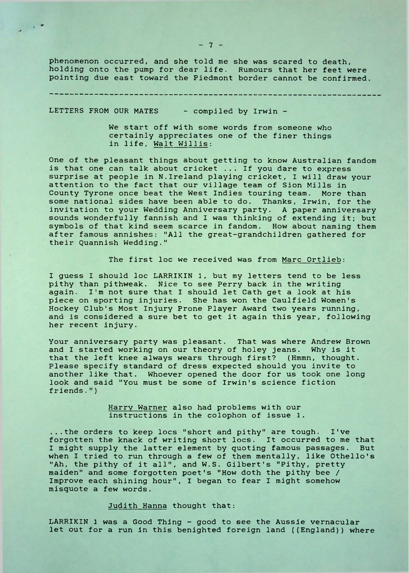phenomenon occurred, and she told me she was scared to death, holding onto the pump for dear life. Rumours that her feet were pointing due east toward the Piedmont border cannot be confirmed.

LETTERS FROM OUR MATES - compiled by Irwin -

 $\sim$ 

We start off with some words from someone who certainly appreciates one of the finer things in life, Walt Willis:

One of the pleasant things about getting to know Australian fandom is that one can talk about cricket ... If you dare to express surprise at people in N.Ireland playing cricket, I will draw your attention to the fact that our village team of Sion Mills in County Tyrone once beat the West Indies touring team. More than some national sides have been able to do. Thanks, Irwin, for the invitation to your Wedding Anniversary party. A paper anniversary sounds wonderfully fannish and I was thinking of extending it; but symbols of that kind seem scarce in fandom. How about naming them after famous annishes: "All the great-grandchildren gathered for their Quannish Wedding."

The first loc we received was from Marc Ortlieb:

I guess I should loc LARRIKIN 1, but my letters tend to be less pithy than pithweak. Nice to see Perry back in the writing again. I'm not sure that <sup>I</sup> should let Cath get a look at his piece on sporting injuries. She has won the Caulfield Women's Hockey Club's Most Injury Prone Player Award two years running, and is considered a sure bet to get it again this year, following her recent injury.

Your anniversary party was pleasant. That was where Andrew Brown and <sup>I</sup> started working on our theory of holey jeans. Why is it that the left knee always wears through first? (Hmmn, thought. Please specify standard of dress expected should you invite to another like that. Whoever opened the door for us took one long look and said "You must be some of Irwin's science fiction friends.")

> Harry Warner also had problems with our instructions in the colophon of issue 1.

...the orders to keep Iocs "short and pithy" are tough. I've forgotten the knack of writing short Iocs. It occurred to me that I might supply the latter element by quoting famous passages. But when <sup>I</sup> tried to run through a few of them mentally, like Othello's "Ah, the pithy of it all", and W.S. Gilbert's "Pithy, pretty maiden" and some forgotten poet's "How doth the pithy bee / Improve each shining hour", <sup>I</sup> began to fear <sup>I</sup> might somehow misquote a few words.

## Judith Hanna thought that:

LARRIKIN <sup>1</sup> was a Good Thing - good to see the Aussie vernacular let out for a run in this benighted foreign land ((England)) where